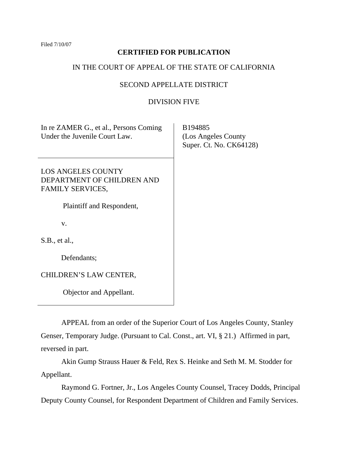Filed 7/10/07

# **CERTIFIED FOR PUBLICATION**

# IN THE COURT OF APPEAL OF THE STATE OF CALIFORNIA

# SECOND APPELLATE DISTRICT

# DIVISION FIVE

| In re ZAMER G., et al., Persons Coming<br>Under the Juvenile Court Law.            | B194885<br>(Los Angeles County)<br>Super. Ct. No. CK64128) |
|------------------------------------------------------------------------------------|------------------------------------------------------------|
| <b>LOS ANGELES COUNTY</b><br>DEPARTMENT OF CHILDREN AND<br><b>FAMILY SERVICES,</b> |                                                            |
| Plaintiff and Respondent,                                                          |                                                            |
| V.                                                                                 |                                                            |
| S.B., et al.,                                                                      |                                                            |
| Defendants;                                                                        |                                                            |
| CHILDREN'S LAW CENTER,                                                             |                                                            |
| Objector and Appellant.                                                            |                                                            |

 APPEAL from an order of the Superior Court of Los Angeles County, Stanley Genser, Temporary Judge. (Pursuant to Cal. Const., art. VI, § 21.) Affirmed in part, reversed in part.

 Akin Gump Strauss Hauer & Feld, Rex S. Heinke and Seth M. M. Stodder for Appellant.

 Raymond G. Fortner, Jr., Los Angeles County Counsel, Tracey Dodds, Principal Deputy County Counsel, for Respondent Department of Children and Family Services.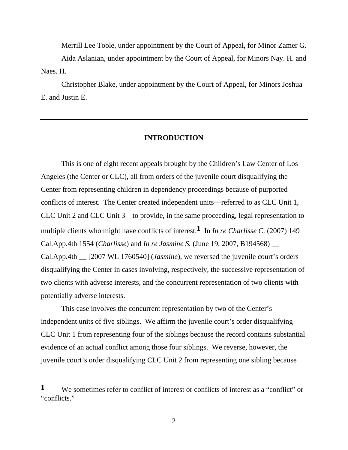Merrill Lee Toole, under appointment by the Court of Appeal, for Minor Zamer G. Aida Aslanian, under appointment by the Court of Appeal, for Minors Nay. H. and Naes. H.

 Christopher Blake, under appointment by the Court of Appeal, for Minors Joshua E. and Justin E.

### **INTRODUCTION**

 This is one of eight recent appeals brought by the Children's Law Center of Los Angeles (the Center or CLC), all from orders of the juvenile court disqualifying the Center from representing children in dependency proceedings because of purported conflicts of interest. The Center created independent units—referred to as CLC Unit 1, CLC Unit 2 and CLC Unit 3—to provide, in the same proceeding, legal representation to multiple clients who might have conflicts of interest.**1** In *In re Charlisse C.* (2007) 149 Cal.App.4th 1554 (*Charlisse*) and *In re Jasmine S.* (June 19, 2007, B194568) \_\_ Cal.App.4th \_\_ [2007 WL 1760540] (*Jasmine*), we reversed the juvenile court's orders disqualifying the Center in cases involving, respectively, the successive representation of two clients with adverse interests, and the concurrent representation of two clients with potentially adverse interests.

 This case involves the concurrent representation by two of the Center's independent units of five siblings. We affirm the juvenile court's order disqualifying CLC Unit 1 from representing four of the siblings because the record contains substantial evidence of an actual conflict among those four siblings. We reverse, however, the juvenile court's order disqualifying CLC Unit 2 from representing one sibling because

**<sup>1</sup>** We sometimes refer to conflict of interest or conflicts of interest as a "conflict" or "conflicts"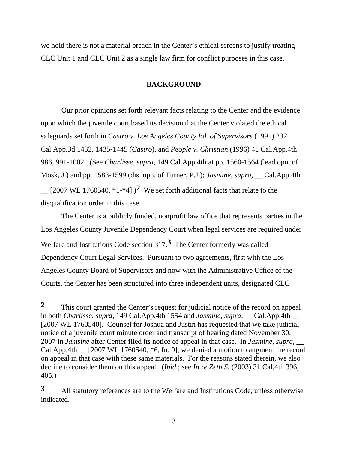we hold there is not a material breach in the Center's ethical screens to justify treating CLC Unit 1 and CLC Unit 2 as a single law firm for conflict purposes in this case.

### **BACKGROUND**

 Our prior opinions set forth relevant facts relating to the Center and the evidence upon which the juvenile court based its decision that the Center violated the ethical safeguards set forth in *Castro v. Los Angeles County Bd. of Supervisors* (1991) 232 Cal.App.3d 1432, 1435-1445 (*Castro*), and *People v. Christian* (1996) 41 Cal.App.4th 986, 991-1002. (See *Charlisse, supra,* 149 Cal.App.4th at pp. 1560-1564 (lead opn. of Mosk, J.) and pp. 1583-1599 (dis. opn. of Turner, P.J.); *Jasmine, supra,* \_\_ Cal.App.4th  $\sim$  [2007 WL 1760540, \*1-\*4].)<sup>2</sup> We set forth additional facts that relate to the disqualification order in this case.

 The Center is a publicly funded, nonprofit law office that represents parties in the Los Angeles County Juvenile Dependency Court when legal services are required under Welfare and Institutions Code section 317.**3** The Center formerly was called Dependency Court Legal Services. Pursuant to two agreements, first with the Los Angeles County Board of Supervisors and now with the Administrative Office of the Courts, the Center has been structured into three independent units, designated CLC

**<sup>2</sup>** This court granted the Center's request for judicial notice of the record on appeal in both *Charlisse, supra,* 149 Cal.App.4th 1554 and *Jasmine, supra,* Cal.App.4th [2007 WL 1760540]. Counsel for Joshua and Justin has requested that we take judicial notice of a juvenile court minute order and transcript of hearing dated November 30, 2007 in *Jamsine* after Center filed its notice of appeal in that case. In *Jasmine, supra,* \_\_ Cal.App.4th  $\left[2007 \text{ WL } 1760540, *6, \text{ fn. } 9\right]$ , we denied a motion to augment the record on appeal in that case with these same materials. For the reasons stated therein, we also decline to consider them on this appeal. (*Ibid.*; see *In re Zeth S.* (2003) 31 Cal.4th 396, 405.)

**<sup>3</sup>** All statutory references are to the Welfare and Institutions Code, unless otherwise indicated.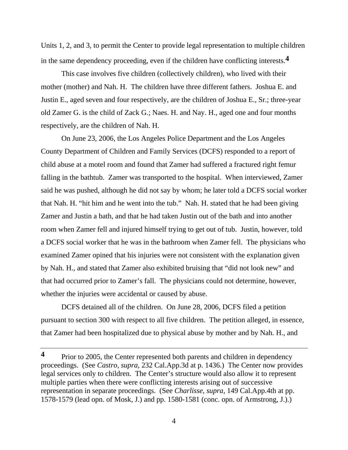Units 1, 2, and 3, to permit the Center to provide legal representation to multiple children in the same dependency proceeding, even if the children have conflicting interests.**4**

 This case involves five children (collectively children), who lived with their mother (mother) and Nah. H. The children have three different fathers. Joshua E. and Justin E., aged seven and four respectively, are the children of Joshua E., Sr.; three-year old Zamer G. is the child of Zack G.; Naes. H. and Nay. H., aged one and four months respectively, are the children of Nah. H.

 On June 23, 2006, the Los Angeles Police Department and the Los Angeles County Department of Children and Family Services (DCFS) responded to a report of child abuse at a motel room and found that Zamer had suffered a fractured right femur falling in the bathtub. Zamer was transported to the hospital. When interviewed, Zamer said he was pushed, although he did not say by whom; he later told a DCFS social worker that Nah. H. "hit him and he went into the tub." Nah. H. stated that he had been giving Zamer and Justin a bath, and that he had taken Justin out of the bath and into another room when Zamer fell and injured himself trying to get out of tub. Justin, however, told a DCFS social worker that he was in the bathroom when Zamer fell. The physicians who examined Zamer opined that his injuries were not consistent with the explanation given by Nah. H., and stated that Zamer also exhibited bruising that "did not look new" and that had occurred prior to Zamer's fall. The physicians could not determine, however, whether the injuries were accidental or caused by abuse.

 DCFS detained all of the children. On June 28, 2006, DCFS filed a petition pursuant to section 300 with respect to all five children. The petition alleged, in essence, that Zamer had been hospitalized due to physical abuse by mother and by Nah. H., and

**<sup>4</sup>** Prior to 2005, the Center represented both parents and children in dependency proceedings. (See *Castro, supra,* 232 Cal.App.3d at p. 1436.) The Center now provides legal services only to children. The Center's structure would also allow it to represent multiple parties when there were conflicting interests arising out of successive representation in separate proceedings. (See *Charlisse, supra,* 149 Cal.App.4th at pp. 1578-1579 (lead opn. of Mosk, J.) and pp. 1580-1581 (conc. opn. of Armstrong, J.).)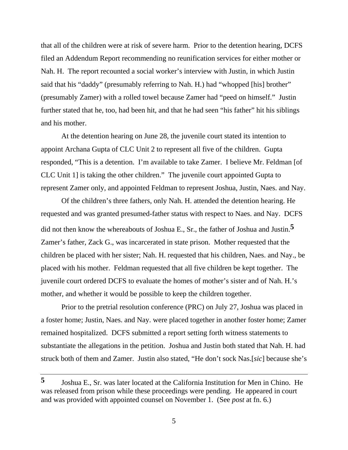that all of the children were at risk of severe harm. Prior to the detention hearing, DCFS filed an Addendum Report recommending no reunification services for either mother or Nah. H. The report recounted a social worker's interview with Justin, in which Justin said that his "daddy" (presumably referring to Nah. H.) had "whopped [his] brother" (presumably Zamer) with a rolled towel because Zamer had "peed on himself." Justin further stated that he, too, had been hit, and that he had seen "his father" hit his siblings and his mother.

 At the detention hearing on June 28, the juvenile court stated its intention to appoint Archana Gupta of CLC Unit 2 to represent all five of the children. Gupta responded, "This is a detention. I'm available to take Zamer. I believe Mr. Feldman [of CLC Unit 1] is taking the other children." The juvenile court appointed Gupta to represent Zamer only, and appointed Feldman to represent Joshua, Justin, Naes. and Nay.

 Of the children's three fathers, only Nah. H. attended the detention hearing. He requested and was granted presumed-father status with respect to Naes. and Nay. DCFS did not then know the whereabouts of Joshua E., Sr., the father of Joshua and Justin.**5** Zamer's father, Zack G., was incarcerated in state prison. Mother requested that the children be placed with her sister; Nah. H. requested that his children, Naes. and Nay., be placed with his mother. Feldman requested that all five children be kept together. The juvenile court ordered DCFS to evaluate the homes of mother's sister and of Nah. H.'s mother, and whether it would be possible to keep the children together.

 Prior to the pretrial resolution conference (PRC) on July 27, Joshua was placed in a foster home; Justin, Naes. and Nay. were placed together in another foster home; Zamer remained hospitalized. DCFS submitted a report setting forth witness statements to substantiate the allegations in the petition. Joshua and Justin both stated that Nah. H. had struck both of them and Zamer. Justin also stated, "He don't sock Nas.[*sic*] because she's

**<sup>5</sup>** Joshua E., Sr. was later located at the California Institution for Men in Chino. He was released from prison while these proceedings were pending. He appeared in court and was provided with appointed counsel on November 1. (See *post* at fn. 6.)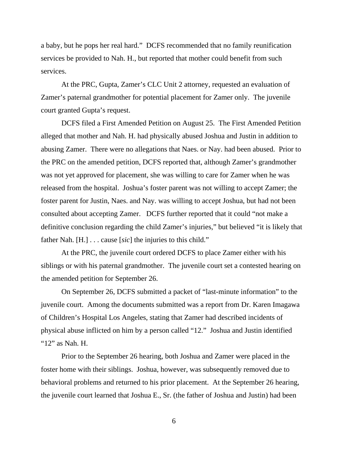a baby, but he pops her real hard." DCFS recommended that no family reunification services be provided to Nah. H., but reported that mother could benefit from such services.

 At the PRC, Gupta, Zamer's CLC Unit 2 attorney, requested an evaluation of Zamer's paternal grandmother for potential placement for Zamer only. The juvenile court granted Gupta's request.

 DCFS filed a First Amended Petition on August 25. The First Amended Petition alleged that mother and Nah. H. had physically abused Joshua and Justin in addition to abusing Zamer. There were no allegations that Naes. or Nay. had been abused. Prior to the PRC on the amended petition, DCFS reported that, although Zamer's grandmother was not yet approved for placement, she was willing to care for Zamer when he was released from the hospital. Joshua's foster parent was not willing to accept Zamer; the foster parent for Justin, Naes. and Nay. was willing to accept Joshua, but had not been consulted about accepting Zamer. DCFS further reported that it could "not make a definitive conclusion regarding the child Zamer's injuries," but believed "it is likely that father Nah. [H.] . . . cause [*sic*] the injuries to this child."

 At the PRC, the juvenile court ordered DCFS to place Zamer either with his siblings or with his paternal grandmother. The juvenile court set a contested hearing on the amended petition for September 26.

 On September 26, DCFS submitted a packet of "last-minute information" to the juvenile court. Among the documents submitted was a report from Dr. Karen Imagawa of Children's Hospital Los Angeles, stating that Zamer had described incidents of physical abuse inflicted on him by a person called "12." Joshua and Justin identified "12" as Nah. H.

 Prior to the September 26 hearing, both Joshua and Zamer were placed in the foster home with their siblings. Joshua, however, was subsequently removed due to behavioral problems and returned to his prior placement. At the September 26 hearing, the juvenile court learned that Joshua E., Sr. (the father of Joshua and Justin) had been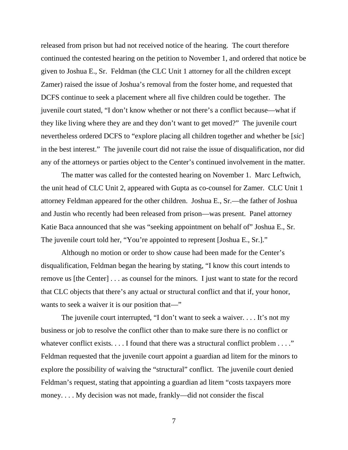released from prison but had not received notice of the hearing. The court therefore continued the contested hearing on the petition to November 1, and ordered that notice be given to Joshua E., Sr. Feldman (the CLC Unit 1 attorney for all the children except Zamer) raised the issue of Joshua's removal from the foster home, and requested that DCFS continue to seek a placement where all five children could be together. The juvenile court stated, "I don't know whether or not there's a conflict because—what if they like living where they are and they don't want to get moved?" The juvenile court nevertheless ordered DCFS to "explore placing all children together and whether be [*sic*] in the best interest." The juvenile court did not raise the issue of disqualification, nor did any of the attorneys or parties object to the Center's continued involvement in the matter.

 The matter was called for the contested hearing on November 1. Marc Leftwich, the unit head of CLC Unit 2, appeared with Gupta as co-counsel for Zamer. CLC Unit 1 attorney Feldman appeared for the other children. Joshua E., Sr.—the father of Joshua and Justin who recently had been released from prison—was present. Panel attorney Katie Baca announced that she was "seeking appointment on behalf of" Joshua E., Sr. The juvenile court told her, "You're appointed to represent [Joshua E., Sr.]."

 Although no motion or order to show cause had been made for the Center's disqualification, Feldman began the hearing by stating, "I know this court intends to remove us [the Center] . . . as counsel for the minors. I just want to state for the record that CLC objects that there's any actual or structural conflict and that if, your honor, wants to seek a waiver it is our position that—"

 The juvenile court interrupted, "I don't want to seek a waiver. . . . It's not my business or job to resolve the conflict other than to make sure there is no conflict or whatever conflict exists. . . . I found that there was a structural conflict problem . . . ." Feldman requested that the juvenile court appoint a guardian ad litem for the minors to explore the possibility of waiving the "structural" conflict. The juvenile court denied Feldman's request, stating that appointing a guardian ad litem "costs taxpayers more money. . . . My decision was not made, frankly—did not consider the fiscal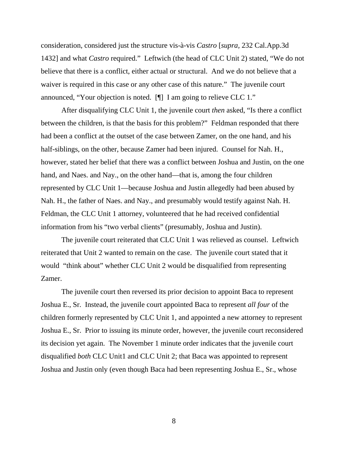consideration, considered just the structure vis-à-vis *Castro* [*supra,* 232 Cal.App.3d 1432] and what *Castro* required." Leftwich (the head of CLC Unit 2) stated, "We do not believe that there is a conflict, either actual or structural. And we do not believe that a waiver is required in this case or any other case of this nature." The juvenile court announced, "Your objection is noted. [¶] I am going to relieve CLC 1."

 After disqualifying CLC Unit 1, the juvenile court *then* asked, "Is there a conflict between the children, is that the basis for this problem?" Feldman responded that there had been a conflict at the outset of the case between Zamer, on the one hand, and his half-siblings, on the other, because Zamer had been injured. Counsel for Nah. H., however, stated her belief that there was a conflict between Joshua and Justin, on the one hand, and Naes. and Nay., on the other hand—that is, among the four children represented by CLC Unit 1—because Joshua and Justin allegedly had been abused by Nah. H., the father of Naes. and Nay., and presumably would testify against Nah. H. Feldman, the CLC Unit 1 attorney, volunteered that he had received confidential information from his "two verbal clients" (presumably, Joshua and Justin).

 The juvenile court reiterated that CLC Unit 1 was relieved as counsel. Leftwich reiterated that Unit 2 wanted to remain on the case. The juvenile court stated that it would "think about" whether CLC Unit 2 would be disqualified from representing Zamer.

 The juvenile court then reversed its prior decision to appoint Baca to represent Joshua E., Sr. Instead, the juvenile court appointed Baca to represent *all four* of the children formerly represented by CLC Unit 1, and appointed a new attorney to represent Joshua E., Sr. Prior to issuing its minute order, however, the juvenile court reconsidered its decision yet again. The November 1 minute order indicates that the juvenile court disqualified *both* CLC Unit1 and CLC Unit 2; that Baca was appointed to represent Joshua and Justin only (even though Baca had been representing Joshua E., Sr., whose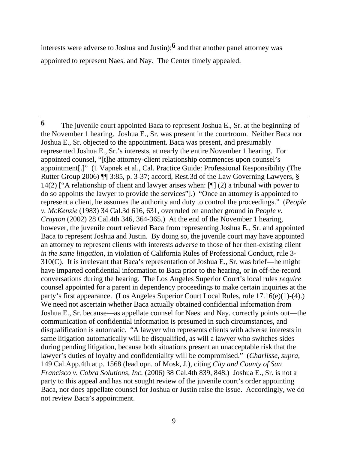interests were adverse to Joshua and Justin);**6** and that another panel attorney was appointed to represent Naes. and Nay. The Center timely appealed.

**6** The juvenile court appointed Baca to represent Joshua E., Sr. at the beginning of the November 1 hearing. Joshua E., Sr. was present in the courtroom. Neither Baca nor Joshua E., Sr. objected to the appointment. Baca was present, and presumably represented Joshua E., Sr.'s interests, at nearly the entire November 1 hearing. For appointed counsel, "[t]he attorney-client relationship commences upon counsel's appointment[.]" (1 Vapnek et al., Cal. Practice Guide: Professional Responsibility (The Rutter Group 2006) ¶¶ 3:85, p. 3-37; accord, Rest.3d of the Law Governing Lawyers, § 14(2) ["A relationship of client and lawyer arises when: [¶] (2) a tribunal with power to do so appoints the lawyer to provide the services"].) "Once an attorney is appointed to represent a client, he assumes the authority and duty to control the proceedings." (*People v. McKenzie* (1983) 34 Cal.3d 616, 631, overruled on another ground in *People v. Crayton* (2002) 28 Cal.4th 346, 364-365.) At the end of the November 1 hearing, however, the juvenile court relieved Baca from representing Joshua E., Sr. and appointed Baca to represent Joshua and Justin. By doing so, the juvenile court may have appointed an attorney to represent clients with interests *adverse* to those of her then-existing client *in the same litigation*, in violation of California Rules of Professional Conduct, rule 3- 310(C). It is irrelevant that Baca's representation of Joshua E., Sr. was brief—he might have imparted confidential information to Baca prior to the hearing, or in off-the-record conversations during the hearing. The Los Angeles Superior Court's local rules *require* counsel appointed for a parent in dependency proceedings to make certain inquiries at the party's first appearance. (Los Angeles Superior Court Local Rules, rule 17.16(e)(1)-(4).) We need not ascertain whether Baca actually obtained confidential information from Joshua E., Sr. because—as appellate counsel for Naes. and Nay. correctly points out—the communication of confidential information is presumed in such circumstances, and disqualification is automatic. "A lawyer who represents clients with adverse interests in same litigation automatically will be disqualified, as will a lawyer who switches sides during pending litigation, because both situations present an unacceptable risk that the lawyer's duties of loyalty and confidentiality will be compromised." (*Charlisse, supra,*  149 Cal.App.4th at p. 1568 (lead opn. of Mosk, J.), citing *City and County of San Francisco v. Cobra Solutions, Inc.* (2006) 38 Cal.4th 839, 848.) Joshua E., Sr. is not a party to this appeal and has not sought review of the juvenile court's order appointing Baca, nor does appellate counsel for Joshua or Justin raise the issue. Accordingly, we do not review Baca's appointment.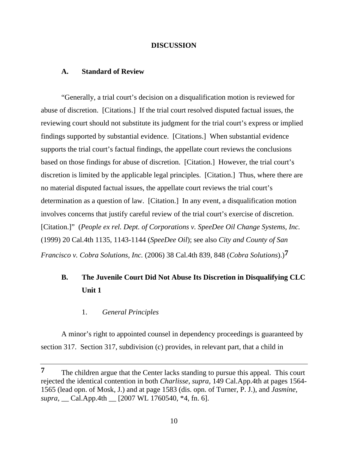#### **DISCUSSION**

### **A. Standard of Review**

 "Generally, a trial court's decision on a disqualification motion is reviewed for abuse of discretion. [Citations.] If the trial court resolved disputed factual issues, the reviewing court should not substitute its judgment for the trial court's express or implied findings supported by substantial evidence. [Citations.] When substantial evidence supports the trial court's factual findings, the appellate court reviews the conclusions based on those findings for abuse of discretion. [Citation.] However, the trial court's discretion is limited by the applicable legal principles. [Citation.] Thus, where there are no material disputed factual issues, the appellate court reviews the trial court's determination as a question of law. [Citation.] In any event, a disqualification motion involves concerns that justify careful review of the trial court's exercise of discretion. [Citation.]" (*People ex rel. Dept. of Corporations v. SpeeDee Oil Change Systems, Inc.* (1999) 20 Cal.4th 1135, 1143-1144 (*SpeeDee Oil*); see also *City and County of San Francisco v. Cobra Solutions, Inc.* (2006) 38 Cal.4th 839, 848 (*Cobra Solutions*).)**7**

# **B. The Juvenile Court Did Not Abuse Its Discretion in Disqualifying CLC Unit 1**

1. *General Principles*

 A minor's right to appointed counsel in dependency proceedings is guaranteed by section 317. Section 317, subdivision (c) provides, in relevant part, that a child in

**<sup>7</sup>** The children argue that the Center lacks standing to pursue this appeal. This court rejected the identical contention in both *Charlisse, supra,* 149 Cal.App.4th at pages 1564- 1565 (lead opn. of Mosk, J.) and at page 1583 (dis. opn. of Turner, P. J.), and *Jasmine, supra,* \_\_ Cal.App.4th \_\_ [2007 WL 1760540, \*4, fn. 6].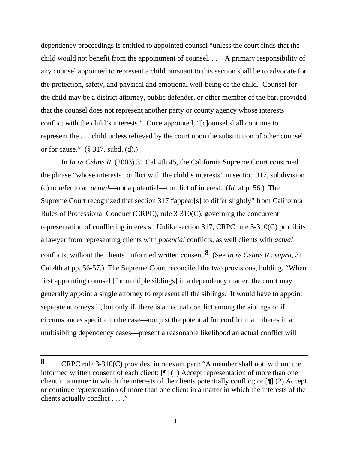dependency proceedings is entitled to appointed counsel "unless the court finds that the child would not benefit from the appointment of counsel. . . . A primary responsibility of any counsel appointed to represent a child pursuant to this section shall be to advocate for the protection, safety, and physical and emotional well-being of the child. Counsel for the child may be a district attorney, public defender, or other member of the bar, provided that the counsel does not represent another party or county agency whose interests conflict with the child's interests." Once appointed, "[c]ounsel shall continue to represent the . . . child unless relieved by the court upon the substitution of other counsel or for cause." (§ 317, subd. (d).)

 In *In re Celine R.* (2003) 31 Cal.4th 45, the California Supreme Court construed the phrase "whose interests conflict with the child's interests" in section 317, subdivision (c) to refer to an *actual*—not a potential—conflict of interest. (*Id.* at p. 56.) The Supreme Court recognized that section 317 "appear[s] to differ slightly" from California Rules of Professional Conduct (CRPC), rule 3-310(C), governing the concurrent representation of conflicting interests. Unlike section 317, CRPC rule 3-310(C) prohibits a lawyer from representing clients with *potential* conflicts, as well clients with *actual*  conflicts, without the clients' informed written consent.**8** (See *In re Celine R., supra,* 31 Cal.4th at pp. 56-57.) The Supreme Court reconciled the two provisions, holding, "When first appointing counsel [for multiple siblings] in a dependency matter, the court may generally appoint a single attorney to represent all the siblings. It would have to appoint separate attorneys if, but only if, there is an actual conflict among the siblings or if circumstances specific to the case—not just the potential for conflict that inheres in all multisibling dependency cases—present a reasonable likelihood an actual conflict will

**<sup>8</sup>** CRPC rule 3-310(C) provides, in relevant part: "A member shall not, without the informed written consent of each client: [¶] (1) Accept representation of more than one client in a matter in which the interests of the clients potentially conflict; or [¶] (2) Accept or continue representation of more than one client in a matter in which the interests of the clients actually conflict . . . ."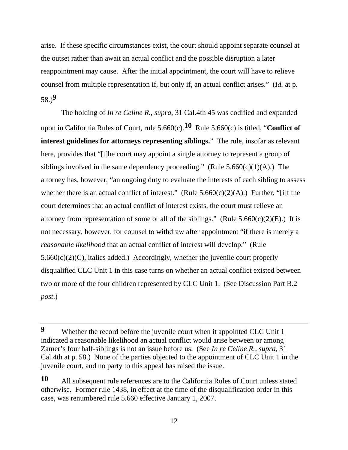arise. If these specific circumstances exist, the court should appoint separate counsel at the outset rather than await an actual conflict and the possible disruption a later reappointment may cause. After the initial appointment, the court will have to relieve counsel from multiple representation if, but only if, an actual conflict arises." (*Id.* at p. 58.)**9**

 The holding of *In re Celine R., supra,* 31 Cal.4th 45 was codified and expanded upon in California Rules of Court, rule 5.660(c).**10** Rule 5.660(c) is titled, "**Conflict of interest guidelines for attorneys representing siblings.**" The rule, insofar as relevant here, provides that "[t]he court may appoint a single attorney to represent a group of siblings involved in the same dependency proceeding." (Rule  $5.660(c)(1)(A)$ .) The attorney has, however, "an ongoing duty to evaluate the interests of each sibling to assess whether there is an actual conflict of interest." (Rule  $5.660(c)(2)(A)$ .) Further, "[i]f the court determines that an actual conflict of interest exists, the court must relieve an attorney from representation of some or all of the siblings." (Rule  $5.660(c)(2)(E)$ .) It is not necessary, however, for counsel to withdraw after appointment "if there is merely a *reasonable likelihood* that an actual conflict of interest will develop." (Rule  $5.660(c)(2)(C)$ , italics added.) Accordingly, whether the juvenile court properly disqualified CLC Unit 1 in this case turns on whether an actual conflict existed between two or more of the four children represented by CLC Unit 1. (See Discussion Part B.2 *post*.)

**<sup>9</sup>** Whether the record before the juvenile court when it appointed CLC Unit 1 indicated a reasonable likelihood an actual conflict would arise between or among Zamer's four half-siblings is not an issue before us. (See *In re Celine R., supra,* 31 Cal.4th at p. 58.) None of the parties objected to the appointment of CLC Unit 1 in the juvenile court, and no party to this appeal has raised the issue.

**<sup>10</sup>** All subsequent rule references are to the California Rules of Court unless stated otherwise. Former rule 1438, in effect at the time of the disqualification order in this case, was renumbered rule 5.660 effective January 1, 2007.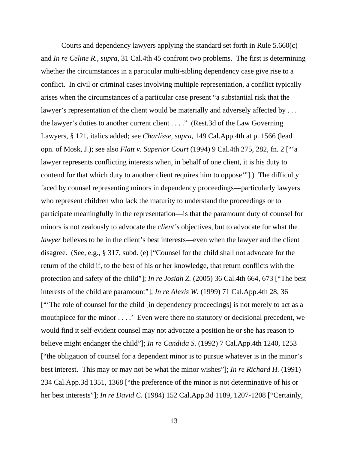Courts and dependency lawyers applying the standard set forth in Rule 5.660(c) and *In re Celine R., supra,* 31 Cal.4th 45 confront two problems. The first is determining whether the circumstances in a particular multi-sibling dependency case give rise to a conflict. In civil or criminal cases involving multiple representation, a conflict typically arises when the circumstances of a particular case present "a substantial risk that the lawyer's representation of the client would be materially and adversely affected by ... the lawyer's duties to another current client . . . ." (Rest.3d of the Law Governing Lawyers, § 121, italics added; see *Charlisse, supra,* 149 Cal.App.4th at p. 1566 (lead opn. of Mosk, J.); see also *Flatt v. Superior Court* (1994) 9 Cal.4th 275, 282, fn. 2 ["'a lawyer represents conflicting interests when, in behalf of one client, it is his duty to contend for that which duty to another client requires him to oppose'"].) The difficulty faced by counsel representing minors in dependency proceedings—particularly lawyers who represent children who lack the maturity to understand the proceedings or to participate meaningfully in the representation—is that the paramount duty of counsel for minors is not zealously to advocate the *client's* objectives, but to advocate for what the *lawyer* believes to be in the client's best interests—even when the lawyer and the client disagree. (See, e.g., § 317, subd. (e) ["Counsel for the child shall not advocate for the return of the child if, to the best of his or her knowledge, that return conflicts with the protection and safety of the child"]; *In re Josiah Z.* (2005) 36 Cal.4th 664, 673 ["The best interests of the child are paramount"]; *In re Alexis W.* (1999) 71 Cal.App.4th 28, 36 ["'The role of counsel for the child [in dependency proceedings] is not merely to act as a mouthpiece for the minor . . . . ' Even were there no statutory or decisional precedent, we would find it self-evident counsel may not advocate a position he or she has reason to believe might endanger the child"]; *In re Candida S.* (1992) 7 Cal.App.4th 1240, 1253 ["the obligation of counsel for a dependent minor is to pursue whatever is in the minor's best interest. This may or may not be what the minor wishes"]; *In re Richard H.* (1991) 234 Cal.App.3d 1351, 1368 ["the preference of the minor is not determinative of his or her best interests"]; *In re David C.* (1984) 152 Cal.App.3d 1189, 1207-1208 ["Certainly,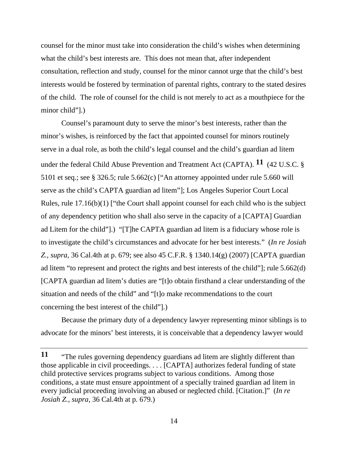counsel for the minor must take into consideration the child's wishes when determining what the child's best interests are. This does not mean that, after independent consultation, reflection and study, counsel for the minor cannot urge that the child's best interests would be fostered by termination of parental rights, contrary to the stated desires of the child. The role of counsel for the child is not merely to act as a mouthpiece for the minor child"].)

 Counsel's paramount duty to serve the minor's best interests, rather than the minor's wishes, is reinforced by the fact that appointed counsel for minors routinely serve in a dual role, as both the child's legal counsel and the child's guardian ad litem under the federal Child Abuse Prevention and Treatment Act (CAPTA). **11** (42 U.S.C. § 5101 et seq.; see § 326.5; rule 5.662(c) ["An attorney appointed under rule 5.660 will serve as the child's CAPTA guardian ad litem"]; Los Angeles Superior Court Local Rules, rule 17.16(b)(1) ["the Court shall appoint counsel for each child who is the subject of any dependency petition who shall also serve in the capacity of a [CAPTA] Guardian ad Litem for the child"].) "[T]he CAPTA guardian ad litem is a fiduciary whose role is to investigate the child's circumstances and advocate for her best interests." (*In re Josiah Z., supra,* 36 Cal.4th at p. 679; see also 45 C.F.R. § 1340.14(g) (2007) [CAPTA guardian ad litem "to represent and protect the rights and best interests of the child"]; rule 5.662(d) [CAPTA guardian ad litem's duties are "[t]o obtain firsthand a clear understanding of the situation and needs of the child" and "[t]o make recommendations to the court concerning the best interest of the child"].)

 Because the primary duty of a dependency lawyer representing minor siblings is to advocate for the minors' best interests, it is conceivable that a dependency lawyer would

**<sup>11</sup>** "The rules governing dependency guardians ad litem are slightly different than those applicable in civil proceedings. . . . [CAPTA] authorizes federal funding of state child protective services programs subject to various conditions. Among those conditions, a state must ensure appointment of a specially trained guardian ad litem in every judicial proceeding involving an abused or neglected child. [Citation.]" (*In re Josiah Z., supra,* 36 Cal.4th at p. 679.)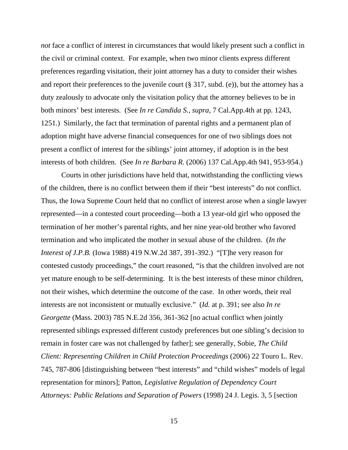*not* face a conflict of interest in circumstances that would likely present such a conflict in the civil or criminal context. For example, when two minor clients express different preferences regarding visitation, their joint attorney has a duty to consider their wishes and report their preferences to the juvenile court (§ 317, subd. (e)), but the attorney has a duty zealously to advocate only the visitation policy that the attorney believes to be in both minors' best interests. (See *In re Candida S., supra,* 7 Cal.App.4th at pp. 1243, 1251.) Similarly, the fact that termination of parental rights and a permanent plan of adoption might have adverse financial consequences for one of two siblings does not present a conflict of interest for the siblings' joint attorney, if adoption is in the best interests of both children. (See *In re Barbara R.* (2006) 137 Cal.App.4th 941, 953-954.)

 Courts in other jurisdictions have held that, notwithstanding the conflicting views of the children, there is no conflict between them if their "best interests" do not conflict. Thus, the Iowa Supreme Court held that no conflict of interest arose when a single lawyer represented—in a contested court proceeding—both a 13 year-old girl who opposed the termination of her mother's parental rights, and her nine year-old brother who favored termination and who implicated the mother in sexual abuse of the children. (*In the Interest of J.P.B.* (Iowa 1988) 419 N.W.2d 387, 391-392.) "[T]he very reason for contested custody proceedings," the court reasoned, "is that the children involved are not yet mature enough to be self-determining. It is the best interests of these minor children, not their wishes, which determine the outcome of the case. In other words, their real interests are not inconsistent or mutually exclusive." (*Id.* at p. 391; see also *In re Georgette* (Mass. 2003) 785 N.E.2d 356, 361-362 [no actual conflict when jointly represented siblings expressed different custody preferences but one sibling's decision to remain in foster care was not challenged by father]; see generally, Sobie, *The Child Client: Representing Children in Child Protection Proceedings* (2006) 22 Touro L. Rev. 745, 787-806 [distinguishing between "best interests" and "child wishes" models of legal representation for minors]; Patton, *Legislative Regulation of Dependency Court Attorneys: Public Relations and Separation of Powers* (1998) 24 J. Legis. 3, 5 [section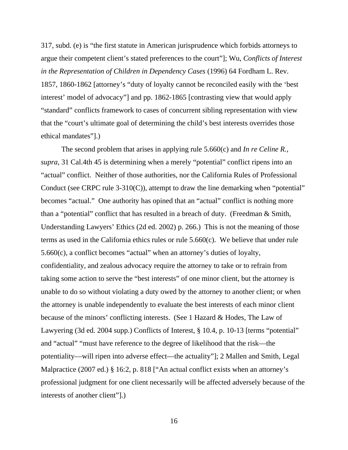317, subd. (e) is "the first statute in American jurisprudence which forbids attorneys to argue their competent client's stated preferences to the court"]; Wu, *Conflicts of Interest in the Representation of Children in Dependency Cases* (1996) 64 Fordham L. Rev. 1857, 1860-1862 [attorney's "duty of loyalty cannot be reconciled easily with the 'best interest' model of advocacy"] and pp. 1862-1865 [contrasting view that would apply "standard" conflicts framework to cases of concurrent sibling representation with view that the "court's ultimate goal of determining the child's best interests overrides those ethical mandates"].)

 The second problem that arises in applying rule 5.660(c) and *In re Celine R., supra,* 31 Cal.4th 45 is determining when a merely "potential" conflict ripens into an "actual" conflict. Neither of those authorities, nor the California Rules of Professional Conduct (see CRPC rule 3-310(C)), attempt to draw the line demarking when "potential" becomes "actual." One authority has opined that an "actual" conflict is nothing more than a "potential" conflict that has resulted in a breach of duty. (Freedman & Smith, Understanding Lawyers' Ethics (2d ed. 2002) p. 266.) This is not the meaning of those terms as used in the California ethics rules or rule 5.660(c). We believe that under rule 5.660(c), a conflict becomes "actual" when an attorney's duties of loyalty, confidentiality, and zealous advocacy require the attorney to take or to refrain from taking some action to serve the "best interests" of one minor client, but the attorney is unable to do so without violating a duty owed by the attorney to another client; or when the attorney is unable independently to evaluate the best interests of each minor client because of the minors' conflicting interests. (See 1 Hazard & Hodes, The Law of Lawyering (3d ed. 2004 supp.) Conflicts of Interest, § 10.4, p. 10-13 [terms "potential" and "actual" "must have reference to the degree of likelihood that the risk—the potentiality—will ripen into adverse effect—the actuality"]; 2 Mallen and Smith, Legal Malpractice (2007 ed.) § 16:2, p. 818 ["An actual conflict exists when an attorney's professional judgment for one client necessarily will be affected adversely because of the interests of another client"].)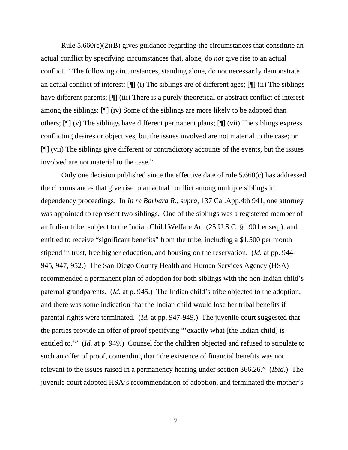Rule  $5.660(c)(2)(B)$  gives guidance regarding the circumstances that constitute an actual conflict by specifying circumstances that, alone, do *not* give rise to an actual conflict. "The following circumstances, standing alone, do not necessarily demonstrate an actual conflict of interest: [¶] (i) The siblings are of different ages; [¶] (ii) The siblings have different parents;  $[\n\P$  (iii) There is a purely theoretical or abstract conflict of interest among the siblings; [¶] (iv) Some of the siblings are more likely to be adopted than others; [¶] (v) The siblings have different permanent plans; [¶] (vii) The siblings express conflicting desires or objectives, but the issues involved are not material to the case; or [¶] (vii) The siblings give different or contradictory accounts of the events, but the issues involved are not material to the case."

 Only one decision published since the effective date of rule 5.660(c) has addressed the circumstances that give rise to an actual conflict among multiple siblings in dependency proceedings. In *In re Barbara R., supra,* 137 Cal.App.4th 941, one attorney was appointed to represent two siblings. One of the siblings was a registered member of an Indian tribe, subject to the Indian Child Welfare Act (25 U.S.C. § 1901 et seq.), and entitled to receive "significant benefits" from the tribe, including a \$1,500 per month stipend in trust, free higher education, and housing on the reservation. (*Id.* at pp. 944- 945, 947, 952.) The San Diego County Health and Human Services Agency (HSA) recommended a permanent plan of adoption for both siblings with the non-Indian child's paternal grandparents. (*Id.* at p. 945.) The Indian child's tribe objected to the adoption, and there was some indication that the Indian child would lose her tribal benefits if parental rights were terminated. (*Id.* at pp. 947-949.) The juvenile court suggested that the parties provide an offer of proof specifying "'exactly what [the Indian child] is entitled to.'" (*Id.* at p. 949.) Counsel for the children objected and refused to stipulate to such an offer of proof, contending that "the existence of financial benefits was not relevant to the issues raised in a permanency hearing under section 366.26." (*Ibid.*) The juvenile court adopted HSA's recommendation of adoption, and terminated the mother's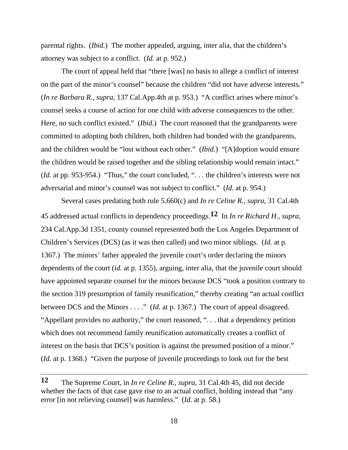parental rights. (*Ibid.*) The mother appealed, arguing, inter alia, that the children's attorney was subject to a conflict. (*Id.* at p. 952.)

 The court of appeal held that "there [was] no basis to allege a conflict of interest on the part of the minor's counsel" because the children "did not have adverse interests." (*In re Barbara R., supra,* 137 Cal.App.4th at p. 953.) "A conflict arises where minor's counsel seeks a course of action for one child with adverse consequences to the other. Here, no such conflict existed." *(Ibid.)* The court reasoned that the grandparents were committed to adopting both children, both children had bonded with the grandparents, and the children would be "lost without each other." (*Ibid.*) "[A]doption would ensure the children would be raised together and the sibling relationship would remain intact." (*Id.* at pp. 953-954.) "Thus," the court concluded, "... the children's interests were not adversarial and minor's counsel was not subject to conflict." (*Id.* at p. 954.)

 Several cases predating both rule 5.660(c) and *In re Celine R., supra,* 31 Cal.4th 45 addressed actual conflicts in dependency proceedings.**12** In *In re Richard H., supra,*  234 Cal.App.3d 1351, county counsel represented both the Los Angeles Department of Children's Services (DCS) (as it was then called) and two minor siblings. (*Id.* at p. 1367.) The minors' father appealed the juvenile court's order declaring the minors dependents of the court (*id.* at p. 1355), arguing, inter alia, that the juvenile court should have appointed separate counsel for the minors because DCS "took a position contrary to the section 319 presumption of family reunification," thereby creating "an actual conflict between DCS and the Minors . . . ." (*Id.* at p. 1367.) The court of appeal disagreed. "Appellant provides no authority," the court reasoned, ". . . that a dependency petition which does not recommend family reunification automatically creates a conflict of interest on the basis that DCS's position is against the presumed position of a minor." (*Id.* at p. 1368.) "Given the purpose of juvenile proceedings to look out for the best

**<sup>12</sup>** The Supreme Court, in *In re Celine R., supra,* 31 Cal.4th 45, did not decide whether the facts of that case gave rise to an actual conflict, holding instead that "any error [in not relieving counsel] was harmless." (*Id.* at p. 58.)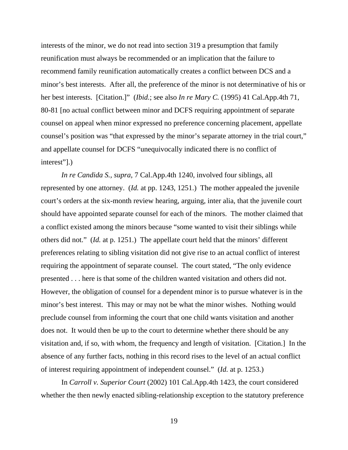interests of the minor, we do not read into section 319 a presumption that family reunification must always be recommended or an implication that the failure to recommend family reunification automatically creates a conflict between DCS and a minor's best interests. After all, the preference of the minor is not determinative of his or her best interests. [Citation.]" (*Ibid.*; see also *In re Mary C.* (1995) 41 Cal.App.4th 71, 80-81 [no actual conflict between minor and DCFS requiring appointment of separate counsel on appeal when minor expressed no preference concerning placement, appellate counsel's position was "that expressed by the minor's separate attorney in the trial court," and appellate counsel for DCFS "unequivocally indicated there is no conflict of interest"].)

 *In re Candida S., supra,* 7 Cal.App.4th 1240, involved four siblings, all represented by one attorney. (*Id.* at pp. 1243, 1251.) The mother appealed the juvenile court's orders at the six-month review hearing, arguing, inter alia, that the juvenile court should have appointed separate counsel for each of the minors. The mother claimed that a conflict existed among the minors because "some wanted to visit their siblings while others did not." (*Id.* at p. 1251.) The appellate court held that the minors' different preferences relating to sibling visitation did not give rise to an actual conflict of interest requiring the appointment of separate counsel. The court stated, "The only evidence presented . . . here is that some of the children wanted visitation and others did not. However, the obligation of counsel for a dependent minor is to pursue whatever is in the minor's best interest. This may or may not be what the minor wishes. Nothing would preclude counsel from informing the court that one child wants visitation and another does not. It would then be up to the court to determine whether there should be any visitation and, if so, with whom, the frequency and length of visitation. [Citation.] In the absence of any further facts, nothing in this record rises to the level of an actual conflict of interest requiring appointment of independent counsel." (*Id.* at p. 1253.)

 In *Carroll v. Superior Court* (2002) 101 Cal.App.4th 1423, the court considered whether the then newly enacted sibling-relationship exception to the statutory preference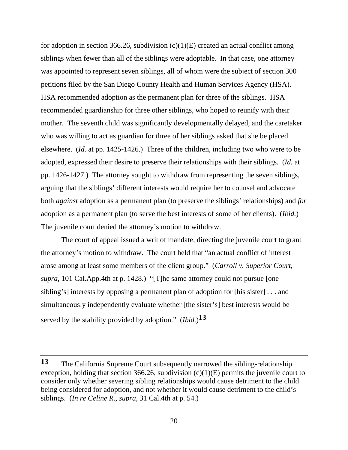for adoption in section 366.26, subdivision  $(c)(1)(E)$  created an actual conflict among siblings when fewer than all of the siblings were adoptable. In that case, one attorney was appointed to represent seven siblings, all of whom were the subject of section 300 petitions filed by the San Diego County Health and Human Services Agency (HSA). HSA recommended adoption as the permanent plan for three of the siblings. HSA recommended guardianship for three other siblings, who hoped to reunify with their mother. The seventh child was significantly developmentally delayed, and the caretaker who was willing to act as guardian for three of her siblings asked that she be placed elsewhere. (*Id.* at pp. 1425-1426.) Three of the children, including two who were to be adopted, expressed their desire to preserve their relationships with their siblings. (*Id.* at pp. 1426-1427.) The attorney sought to withdraw from representing the seven siblings, arguing that the siblings' different interests would require her to counsel and advocate both *against* adoption as a permanent plan (to preserve the siblings' relationships) and *for* adoption as a permanent plan (to serve the best interests of some of her clients). (*Ibid.*) The juvenile court denied the attorney's motion to withdraw.

 The court of appeal issued a writ of mandate, directing the juvenile court to grant the attorney's motion to withdraw. The court held that "an actual conflict of interest arose among at least some members of the client group." (*Carroll v. Superior Court, supra,* 101 Cal.App.4th at p. 1428.) "[T]he same attorney could not pursue [one sibling's] interests by opposing a permanent plan of adoption for [his sister] . . . and simultaneously independently evaluate whether [the sister's] best interests would be served by the stability provided by adoption." (*Ibid.*)**13**

**<sup>13</sup>** The California Supreme Court subsequently narrowed the sibling-relationship exception, holding that section 366.26, subdivision  $(c)(1)(E)$  permits the juvenile court to consider only whether severing sibling relationships would cause detriment to the child being considered for adoption, and not whether it would cause detriment to the child's siblings. (*In re Celine R., supra,* 31 Cal.4th at p. 54.)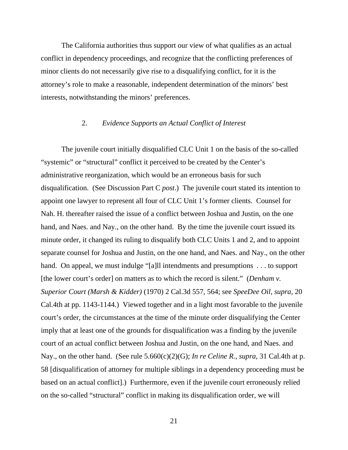The California authorities thus support our view of what qualifies as an actual conflict in dependency proceedings, and recognize that the conflicting preferences of minor clients do not necessarily give rise to a disqualifying conflict, for it is the attorney's role to make a reasonable, independent determination of the minors' best interests, notwithstanding the minors' preferences.

### 2. *Evidence Supports an Actual Conflict of Interest*

 The juvenile court initially disqualified CLC Unit 1 on the basis of the so-called "systemic" or "structural" conflict it perceived to be created by the Center's administrative reorganization, which would be an erroneous basis for such disqualification. (See Discussion Part C *post*.) The juvenile court stated its intention to appoint one lawyer to represent all four of CLC Unit 1's former clients. Counsel for Nah. H. thereafter raised the issue of a conflict between Joshua and Justin, on the one hand, and Naes. and Nay., on the other hand. By the time the juvenile court issued its minute order, it changed its ruling to disqualify both CLC Units 1 and 2, and to appoint separate counsel for Joshua and Justin, on the one hand, and Naes. and Nay., on the other hand. On appeal, we must indulge "[a]ll intendments and presumptions . . . to support [the lower court's order] on matters as to which the record is silent." (*Denham v. Superior Court (Marsh & Kidder)* (1970) 2 Cal.3d 557, 564; see *SpeeDee Oil, supra,* 20 Cal.4th at pp. 1143-1144.) Viewed together and in a light most favorable to the juvenile court's order, the circumstances at the time of the minute order disqualifying the Center imply that at least one of the grounds for disqualification was a finding by the juvenile court of an actual conflict between Joshua and Justin, on the one hand, and Naes. and Nay., on the other hand. (See rule 5.660(c)(2)(G); *In re Celine R., supra,* 31 Cal.4th at p. 58 [disqualification of attorney for multiple siblings in a dependency proceeding must be based on an actual conflict].) Furthermore, even if the juvenile court erroneously relied on the so-called "structural" conflict in making its disqualification order, we will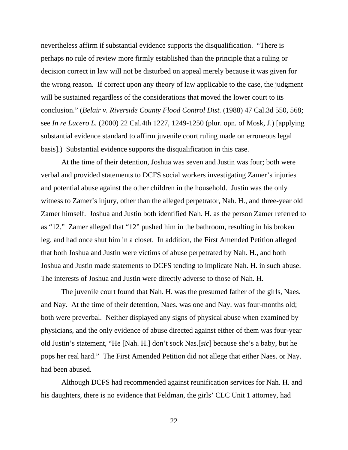nevertheless affirm if substantial evidence supports the disqualification. "There is perhaps no rule of review more firmly established than the principle that a ruling or decision correct in law will not be disturbed on appeal merely because it was given for the wrong reason. If correct upon any theory of law applicable to the case, the judgment will be sustained regardless of the considerations that moved the lower court to its conclusion." (*Belair v. Riverside County Flood Control Dist.* (1988) 47 Cal.3d 550, 568; see *In re Lucero L.* (2000) 22 Cal.4th 1227, 1249-1250 (plur. opn. of Mosk, J.) [applying substantial evidence standard to affirm juvenile court ruling made on erroneous legal basis].) Substantial evidence supports the disqualification in this case.

 At the time of their detention, Joshua was seven and Justin was four; both were verbal and provided statements to DCFS social workers investigating Zamer's injuries and potential abuse against the other children in the household. Justin was the only witness to Zamer's injury, other than the alleged perpetrator, Nah. H., and three-year old Zamer himself. Joshua and Justin both identified Nah. H. as the person Zamer referred to as "12." Zamer alleged that "12" pushed him in the bathroom, resulting in his broken leg, and had once shut him in a closet. In addition, the First Amended Petition alleged that both Joshua and Justin were victims of abuse perpetrated by Nah. H., and both Joshua and Justin made statements to DCFS tending to implicate Nah. H. in such abuse. The interests of Joshua and Justin were directly adverse to those of Nah. H.

 The juvenile court found that Nah. H. was the presumed father of the girls, Naes. and Nay. At the time of their detention, Naes. was one and Nay. was four-months old; both were preverbal. Neither displayed any signs of physical abuse when examined by physicians, and the only evidence of abuse directed against either of them was four-year old Justin's statement, "He [Nah. H.] don't sock Nas.[*sic*] because she's a baby, but he pops her real hard." The First Amended Petition did not allege that either Naes. or Nay. had been abused.

 Although DCFS had recommended against reunification services for Nah. H. and his daughters, there is no evidence that Feldman, the girls' CLC Unit 1 attorney, had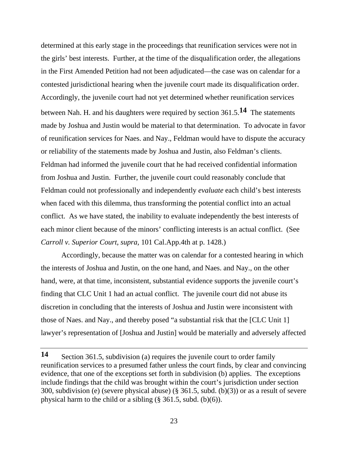determined at this early stage in the proceedings that reunification services were not in the girls' best interests. Further, at the time of the disqualification order, the allegations in the First Amended Petition had not been adjudicated—the case was on calendar for a contested jurisdictional hearing when the juvenile court made its disqualification order. Accordingly, the juvenile court had not yet determined whether reunification services between Nah. H. and his daughters were required by section 361.5.**14** The statements made by Joshua and Justin would be material to that determination. To advocate in favor of reunification services for Naes. and Nay., Feldman would have to dispute the accuracy or reliability of the statements made by Joshua and Justin, also Feldman's clients. Feldman had informed the juvenile court that he had received confidential information from Joshua and Justin. Further, the juvenile court could reasonably conclude that Feldman could not professionally and independently *evaluate* each child's best interests when faced with this dilemma, thus transforming the potential conflict into an actual conflict. As we have stated, the inability to evaluate independently the best interests of each minor client because of the minors' conflicting interests is an actual conflict. (See *Carroll v. Superior Court, supra,* 101 Cal.App.4th at p. 1428.)

 Accordingly, because the matter was on calendar for a contested hearing in which the interests of Joshua and Justin, on the one hand, and Naes. and Nay., on the other hand, were, at that time, inconsistent, substantial evidence supports the juvenile court's finding that CLC Unit 1 had an actual conflict. The juvenile court did not abuse its discretion in concluding that the interests of Joshua and Justin were inconsistent with those of Naes. and Nay., and thereby posed "a substantial risk that the [CLC Unit 1] lawyer's representation of [Joshua and Justin] would be materially and adversely affected

**<sup>14</sup>** Section 361.5, subdivision (a) requires the juvenile court to order family reunification services to a presumed father unless the court finds, by clear and convincing evidence, that one of the exceptions set forth in subdivision (b) applies. The exceptions include findings that the child was brought within the court's jurisdiction under section 300, subdivision (e) (severe physical abuse) (§ 361.5, subd. (b)(3)) or as a result of severe physical harm to the child or a sibling  $(\S 361.5, \text{subd. (b)}(6))$ .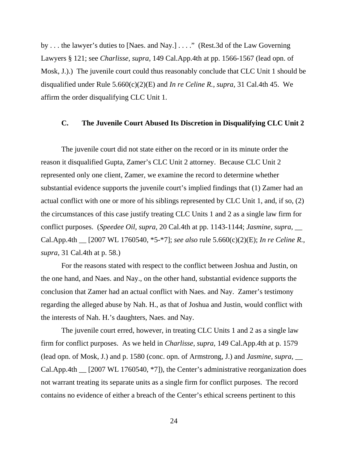by . . . the lawyer's duties to [Naes. and Nay.] . . . ." (Rest.3d of the Law Governing Lawyers § 121; see *Charlisse, supra,* 149 Cal.App.4th at pp. 1566-1567 (lead opn. of Mosk, J.).) The juvenile court could thus reasonably conclude that CLC Unit 1 should be disqualified under Rule 5.660(c)(2)(E) and *In re Celine R., supra,* 31 Cal.4th 45. We affirm the order disqualifying CLC Unit 1.

### **C. The Juvenile Court Abused Its Discretion in Disqualifying CLC Unit 2**

 The juvenile court did not state either on the record or in its minute order the reason it disqualified Gupta, Zamer's CLC Unit 2 attorney. Because CLC Unit 2 represented only one client, Zamer, we examine the record to determine whether substantial evidence supports the juvenile court's implied findings that (1) Zamer had an actual conflict with one or more of his siblings represented by CLC Unit 1, and, if so, (2) the circumstances of this case justify treating CLC Units 1 and 2 as a single law firm for conflict purposes. (*Speedee Oil, supra,* 20 Cal.4th at pp. 1143-1144; *Jasmine, supra,* \_\_ Cal.App.4th \_\_ [2007 WL 1760540, \*5-\*7]; *see also* rule 5.660(c)(2)(E); *In re Celine R., supra,* 31 Cal.4th at p. 58.)

 For the reasons stated with respect to the conflict between Joshua and Justin, on the one hand, and Naes. and Nay., on the other hand, substantial evidence supports the conclusion that Zamer had an actual conflict with Naes. and Nay. Zamer's testimony regarding the alleged abuse by Nah. H., as that of Joshua and Justin, would conflict with the interests of Nah. H.'s daughters, Naes. and Nay.

 The juvenile court erred, however, in treating CLC Units 1 and 2 as a single law firm for conflict purposes. As we held in *Charlisse, supra,* 149 Cal.App.4th at p. 1579 (lead opn. of Mosk, J.) and p. 1580 (conc. opn. of Armstrong, J.) and *Jasmine, supra,* \_\_ Cal.App.4th \_\_ [2007 WL 1760540, \*7]), the Center's administrative reorganization does not warrant treating its separate units as a single firm for conflict purposes. The record contains no evidence of either a breach of the Center's ethical screens pertinent to this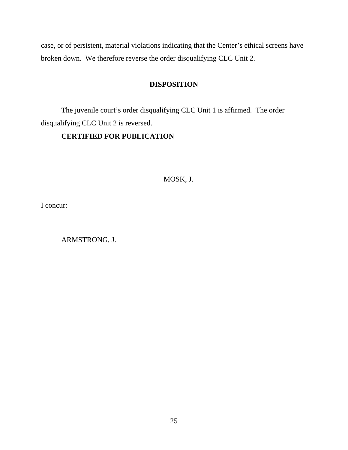case, or of persistent, material violations indicating that the Center's ethical screens have broken down. We therefore reverse the order disqualifying CLC Unit 2.

# **DISPOSITION**

 The juvenile court's order disqualifying CLC Unit 1 is affirmed. The order disqualifying CLC Unit 2 is reversed.

# **CERTIFIED FOR PUBLICATION**

# MOSK, J.

I concur:

ARMSTRONG, J.